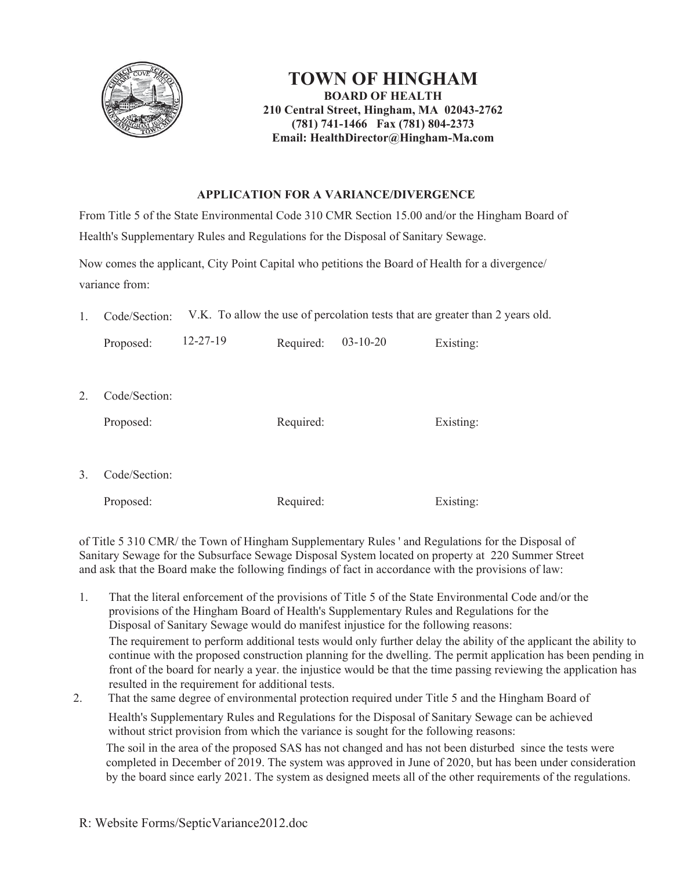

## **TOWN OF HINGHAM BOARD OF HEALTH 210 Central Street, Hingham, MA 02043-2762 (781) 741-1466 Fax (781) 804-2373 Email: HealthDirector@Hingham-Ma.com**

## **APPLICATION FOR A VARIANCE/DIVERGENCE**

From Title 5 of the State Environmental Code 310 CMR Section 15.00 and/or the Hingham Board of Health's Supplementary Rules and Regulations for the Disposal of Sanitary Sewage.

Now comes the applicant, City Point Capital who petitions the Board of Health for a divergence/ variance from:

1. Code/Section: V.K. To allow the use of percolation tests that are greater than 2 years old.

|    | Proposed:                  | $12 - 27 - 19$ | Required: | $03-10-20$ | Existing: |
|----|----------------------------|----------------|-----------|------------|-----------|
| 2. | Code/Section:<br>Proposed: |                | Required: |            | Existing: |
| 3. | Code/Section:<br>Proposed: |                | Required: |            | Existing: |

of Title 5 310 CMR/ the Town of Hingham Supplementary Rules ' and Regulations for the Disposal of Sanitary Sewage for the Subsurface Sewage Disposal System located on property at 220 Summer Street and ask that the Board make the following findings of fact in accordance with the provisions of law:

- 1. That the literal enforcement of the provisions of Title 5 of the State Environmental Code and/or the provisions of the Hingham Board of Health's Supplementary Rules and Regulations for the Disposal of Sanitary Sewage would do manifest injustice for the following reasons: The requirement to perform additional tests would only further delay the ability of the applicant the ability to continue with the proposed construction planning for the dwelling. The permit application has been pending in front of the board for nearly a year. the injustice would be that the time passing reviewing the application has resulted in the requirement for additional tests.
- 2. That the same degree of environmental protection required under Title 5 and the Hingham Board of

Health's Supplementary Rules and Regulations for the Disposal of Sanitary Sewage can be achieved without strict provision from which the variance is sought for the following reasons:

The soil in the area of the proposed SAS has not changed and has not been disturbed since the tests were completed in December of 2019. The system was approved in June of 2020, but has been under consideration by the board since early 2021. The system as designed meets all of the other requirements of the regulations.